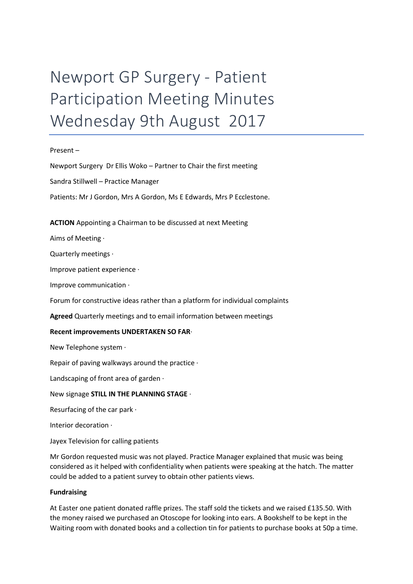# Newport GP Surgery - Patient Participation Meeting Minutes Wednesday 9th August 2017

#### Present –

Newport Surgery Dr Ellis Woko – Partner to Chair the first meeting Sandra Stillwell – Practice Manager Patients: Mr J Gordon, Mrs A Gordon, Ms E Edwards, Mrs P Ecclestone.

# ACTION Appointing a Chairman to be discussed at next Meeting

Aims of Meeting ·

Quarterly meetings ·

Improve patient experience ·

Improve communication ·

Forum for constructive ideas rather than a platform for individual complaints

Agreed Quarterly meetings and to email information between meetings

# Recent improvements UNDERTAKEN SO FAR·

New Telephone system ·

Repair of paving walkways around the practice ·

Landscaping of front area of garden ·

#### New signage STILL IN THE PLANNING STAGE ·

Resurfacing of the car park ·

Interior decoration ·

Jayex Television for calling patients

Mr Gordon requested music was not played. Practice Manager explained that music was being considered as it helped with confidentiality when patients were speaking at the hatch. The matter could be added to a patient survey to obtain other patients views.

#### Fundraising

At Easter one patient donated raffle prizes. The staff sold the tickets and we raised £135.50. With the money raised we purchased an Otoscope for looking into ears. A Bookshelf to be kept in the Waiting room with donated books and a collection tin for patients to purchase books at 50p a time.